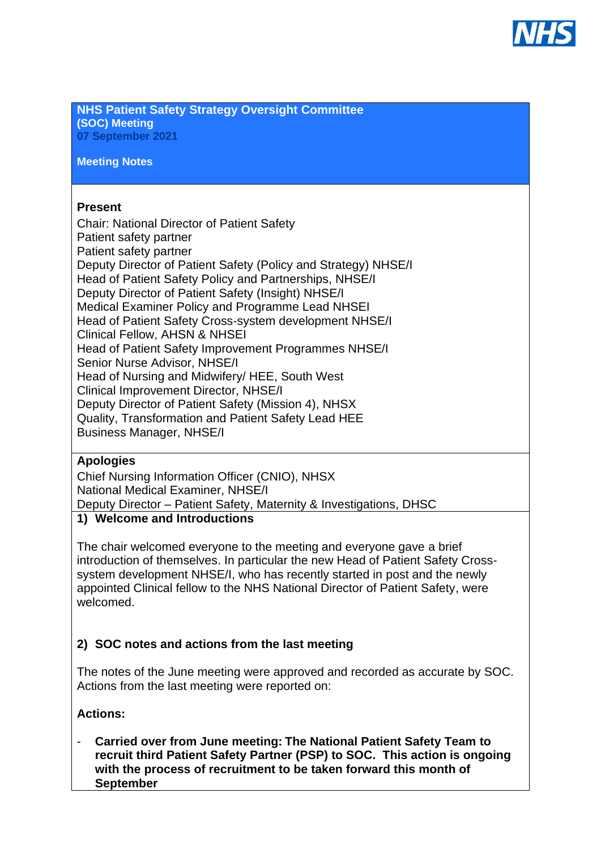

**NHS Patient Safety Strategy Oversight Committee (SOC) Meeting 07 September 2021**

**Meeting Notes**

#### **Present**

Chair: National Director of Patient Safety Patient safety partner Patient safety partner Deputy Director of Patient Safety (Policy and Strategy) NHSE/I Head of Patient Safety Policy and Partnerships, NHSE/I Deputy Director of Patient Safety (Insight) NHSE/I Medical Examiner Policy and Programme Lead NHSEI Head of Patient Safety Cross-system development NHSE/I Clinical Fellow, AHSN & NHSEI Head of Patient Safety Improvement Programmes NHSE/I Senior Nurse Advisor, NHSE/I Head of Nursing and Midwifery/ HEE, South West Clinical Improvement Director, NHSE/I Deputy Director of Patient Safety (Mission 4), NHSX Quality, Transformation and Patient Safety Lead HEE Business Manager, NHSE/I

#### **Apologies**

Chief Nursing Information Officer (CNIO), NHSX National Medical Examiner, NHSE/I Deputy Director – Patient Safety, Maternity & Investigations, DHSC

#### **1) Welcome and Introductions**

The chair welcomed everyone to the meeting and everyone gave a brief introduction of themselves. In particular the new Head of Patient Safety Crosssystem development NHSE/I, who has recently started in post and the newly appointed Clinical fellow to the NHS National Director of Patient Safety, were welcomed.

#### **2) SOC notes and actions from the last meeting**

The notes of the June meeting were approved and recorded as accurate by SOC. Actions from the last meeting were reported on:

#### **Actions:**

- **Carried over from June meeting: The National Patient Safety Team to recruit third Patient Safety Partner (PSP) to SOC. This action is ongoing with the process of recruitment to be taken forward this month of September**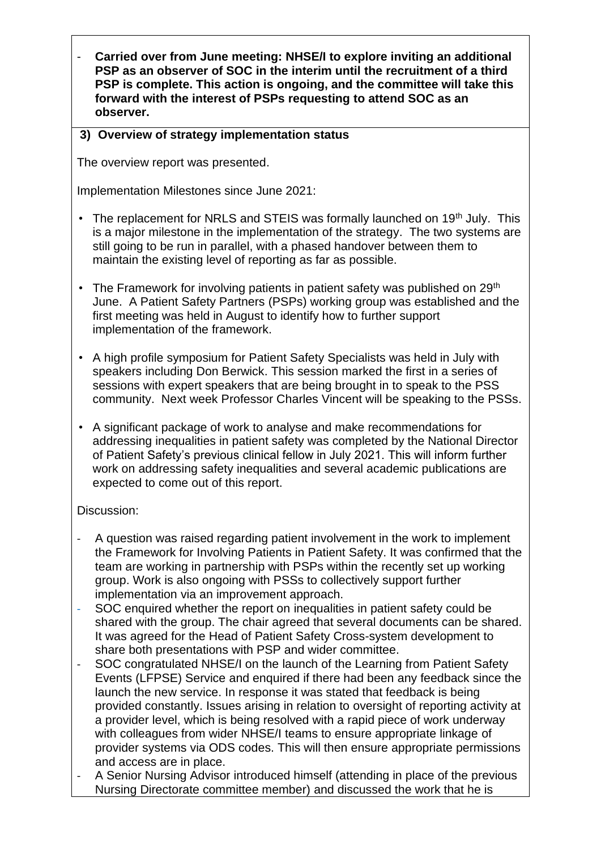Carried over from June meeting: NHSE/I to explore inviting an additional **PSP as an observer of SOC in the interim until the recruitment of a third PSP is complete. This action is ongoing, and the committee will take this forward with the interest of PSPs requesting to attend SOC as an observer.** 

#### **3) Overview of strategy implementation status**

The overview report was presented.

Implementation Milestones since June 2021:

- The replacement for NRLS and STEIS was formally launched on 19<sup>th</sup> July. This is a major milestone in the implementation of the strategy. The two systems are still going to be run in parallel, with a phased handover between them to maintain the existing level of reporting as far as possible.
- The Framework for involving patients in patient safety was published on  $29<sup>th</sup>$ June. A Patient Safety Partners (PSPs) working group was established and the first meeting was held in August to identify how to further support implementation of the framework.
- A high profile symposium for Patient Safety Specialists was held in July with speakers including Don Berwick. This session marked the first in a series of sessions with expert speakers that are being brought in to speak to the PSS community. Next week Professor Charles Vincent will be speaking to the PSSs.
- A significant package of work to analyse and make recommendations for addressing inequalities in patient safety was completed by the National Director of Patient Safety's previous clinical fellow in July 2021. This will inform further work on addressing safety inequalities and several academic publications are expected to come out of this report.

#### Discussion:

- A question was raised regarding patient involvement in the work to implement the Framework for Involving Patients in Patient Safety. It was confirmed that the team are working in partnership with PSPs within the recently set up working group. Work is also ongoing with PSSs to collectively support further implementation via an improvement approach.
- SOC enquired whether the report on inequalities in patient safety could be shared with the group. The chair agreed that several documents can be shared. It was agreed for the Head of Patient Safety Cross-system development to share both presentations with PSP and wider committee.
- SOC congratulated NHSE/I on the launch of the Learning from Patient Safety Events (LFPSE) Service and enquired if there had been any feedback since the launch the new service. In response it was stated that feedback is being provided constantly. Issues arising in relation to oversight of reporting activity at a provider level, which is being resolved with a rapid piece of work underway with colleagues from wider NHSE/I teams to ensure appropriate linkage of provider systems via ODS codes. This will then ensure appropriate permissions and access are in place.
- A Senior Nursing Advisor introduced himself (attending in place of the previous Nursing Directorate committee member) and discussed the work that he is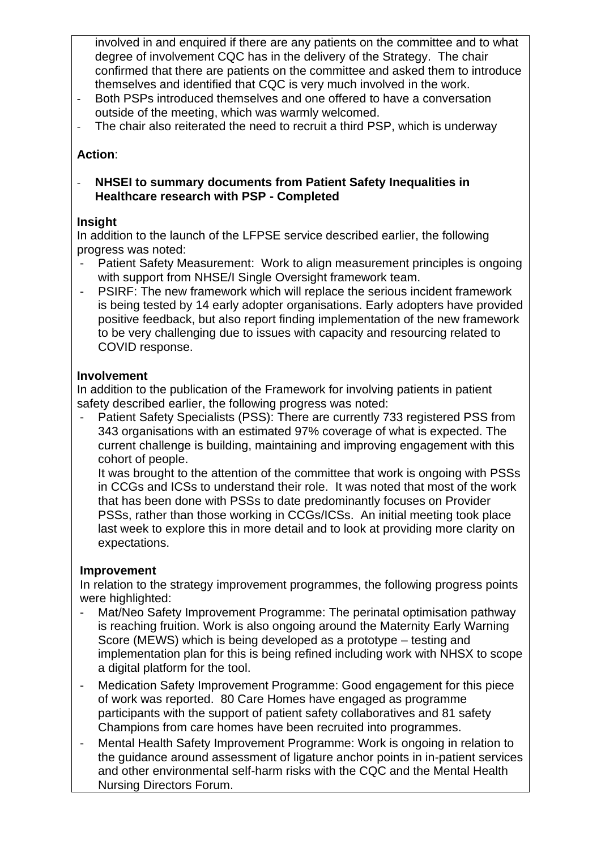involved in and enquired if there are any patients on the committee and to what degree of involvement CQC has in the delivery of the Strategy. The chair confirmed that there are patients on the committee and asked them to introduce themselves and identified that CQC is very much involved in the work.

- Both PSPs introduced themselves and one offered to have a conversation outside of the meeting, which was warmly welcomed.
- The chair also reiterated the need to recruit a third PSP, which is underway

# **Action**:

- **NHSEI to summary documents from Patient Safety Inequalities in Healthcare research with PSP - Completed**

### **Insight**

In addition to the launch of the LFPSE service described earlier, the following progress was noted:

- Patient Safety Measurement: Work to align measurement principles is ongoing with support from NHSE/I Single Oversight framework team.
- PSIRF: The new framework which will replace the serious incident framework is being tested by 14 early adopter organisations. Early adopters have provided positive feedback, but also report finding implementation of the new framework to be very challenging due to issues with capacity and resourcing related to COVID response.

### **Involvement**

In addition to the publication of the Framework for involving patients in patient safety described earlier, the following progress was noted:

Patient Safety Specialists (PSS): There are currently 733 registered PSS from 343 organisations with an estimated 97% coverage of what is expected. The current challenge is building, maintaining and improving engagement with this cohort of people.

It was brought to the attention of the committee that work is ongoing with PSSs in CCGs and ICSs to understand their role. It was noted that most of the work that has been done with PSSs to date predominantly focuses on Provider PSSs, rather than those working in CCGs/ICSs. An initial meeting took place last week to explore this in more detail and to look at providing more clarity on expectations.

### **Improvement**

In relation to the strategy improvement programmes, the following progress points were highlighted:

- Mat/Neo Safety Improvement Programme: The perinatal optimisation pathway is reaching fruition. Work is also ongoing around the Maternity Early Warning Score (MEWS) which is being developed as a prototype – testing and implementation plan for this is being refined including work with NHSX to scope a digital platform for the tool.
- Medication Safety Improvement Programme: Good engagement for this piece of work was reported. 80 Care Homes have engaged as programme participants with the support of patient safety collaboratives and 81 safety Champions from care homes have been recruited into programmes.
- Mental Health Safety Improvement Programme: Work is ongoing in relation to the guidance around assessment of ligature anchor points in in-patient services and other environmental self-harm risks with the CQC and the Mental Health Nursing Directors Forum.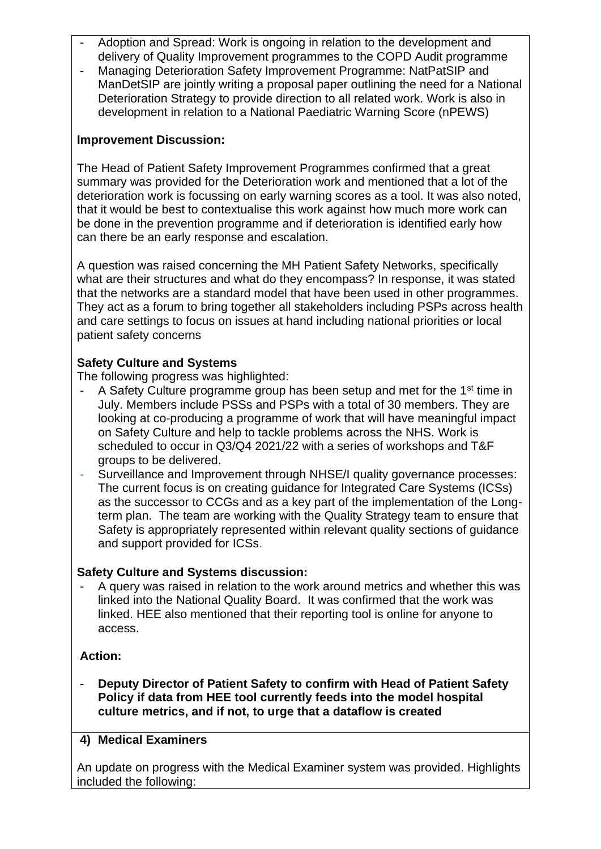- Adoption and Spread: Work is ongoing in relation to the development and delivery of Quality Improvement programmes to the COPD Audit programme
- Managing Deterioration Safety Improvement Programme: NatPatSIP and ManDetSIP are jointly writing a proposal paper outlining the need for a National Deterioration Strategy to provide direction to all related work. Work is also in development in relation to a National Paediatric Warning Score (nPEWS)

### **Improvement Discussion:**

The Head of Patient Safety Improvement Programmes confirmed that a great summary was provided for the Deterioration work and mentioned that a lot of the deterioration work is focussing on early warning scores as a tool. It was also noted, that it would be best to contextualise this work against how much more work can be done in the prevention programme and if deterioration is identified early how can there be an early response and escalation.

A question was raised concerning the MH Patient Safety Networks, specifically what are their structures and what do they encompass? In response, it was stated that the networks are a standard model that have been used in other programmes. They act as a forum to bring together all stakeholders including PSPs across health and care settings to focus on issues at hand including national priorities or local patient safety concerns

# **Safety Culture and Systems**

The following progress was highlighted:

- A Safety Culture programme group has been setup and met for the 1st time in July. Members include PSSs and PSPs with a total of 30 members. They are looking at co-producing a programme of work that will have meaningful impact on Safety Culture and help to tackle problems across the NHS. Work is scheduled to occur in Q3/Q4 2021/22 with a series of workshops and T&F groups to be delivered.
- Surveillance and Improvement through NHSE/I quality governance processes: The current focus is on creating guidance for Integrated Care Systems (ICSs) as the successor to CCGs and as a key part of the implementation of the Longterm plan. The team are working with the Quality Strategy team to ensure that Safety is appropriately represented within relevant quality sections of guidance and support provided for ICSs.

# **Safety Culture and Systems discussion:**

- A query was raised in relation to the work around metrics and whether this was linked into the National Quality Board. It was confirmed that the work was linked. HEE also mentioned that their reporting tool is online for anyone to access.

# **Action:**

- **Deputy Director of Patient Safety to confirm with Head of Patient Safety Policy if data from HEE tool currently feeds into the model hospital culture metrics, and if not, to urge that a dataflow is created**

# **4) Medical Examiners**

An update on progress with the Medical Examiner system was provided. Highlights included the following: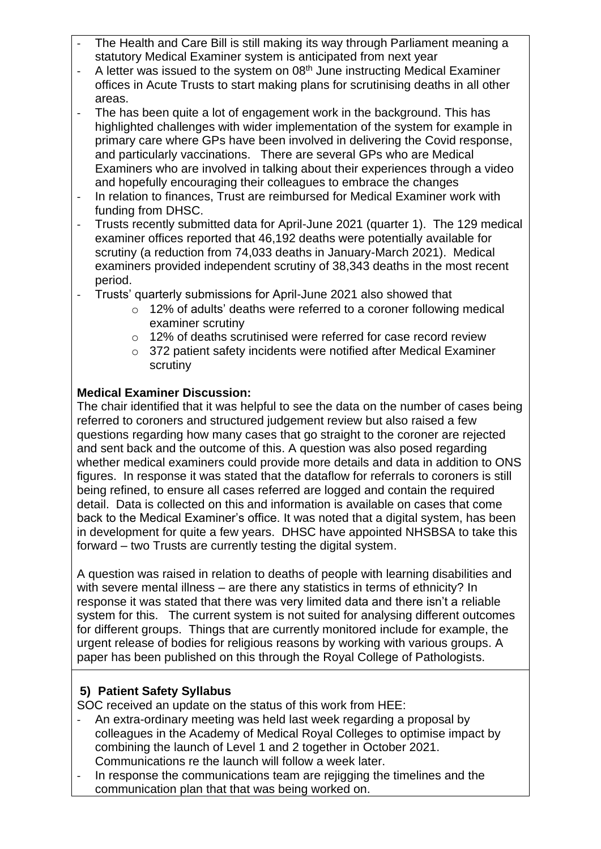- The Health and Care Bill is still making its way through Parliament meaning a statutory Medical Examiner system is anticipated from next year
- A letter was issued to the system on 08<sup>th</sup> June instructing Medical Examiner offices in Acute Trusts to start making plans for scrutinising deaths in all other areas.
- The has been quite a lot of engagement work in the background. This has highlighted challenges with wider implementation of the system for example in primary care where GPs have been involved in delivering the Covid response, and particularly vaccinations. There are several GPs who are Medical Examiners who are involved in talking about their experiences through a video and hopefully encouraging their colleagues to embrace the changes
- In relation to finances, Trust are reimbursed for Medical Examiner work with funding from DHSC.
- Trusts recently submitted data for April-June 2021 (quarter 1). The 129 medical examiner offices reported that 46,192 deaths were potentially available for scrutiny (a reduction from 74,033 deaths in January-March 2021). Medical examiners provided independent scrutiny of 38,343 deaths in the most recent period.
- Trusts' quarterly submissions for April-June 2021 also showed that
	- o 12% of adults' deaths were referred to a coroner following medical examiner scrutiny
	- o 12% of deaths scrutinised were referred for case record review
	- o 372 patient safety incidents were notified after Medical Examiner scrutiny

## **Medical Examiner Discussion:**

The chair identified that it was helpful to see the data on the number of cases being referred to coroners and structured judgement review but also raised a few questions regarding how many cases that go straight to the coroner are rejected and sent back and the outcome of this. A question was also posed regarding whether medical examiners could provide more details and data in addition to ONS figures. In response it was stated that the dataflow for referrals to coroners is still being refined, to ensure all cases referred are logged and contain the required detail. Data is collected on this and information is available on cases that come back to the Medical Examiner's office. It was noted that a digital system, has been in development for quite a few years. DHSC have appointed NHSBSA to take this forward – two Trusts are currently testing the digital system.

A question was raised in relation to deaths of people with learning disabilities and with severe mental illness – are there any statistics in terms of ethnicity? In response it was stated that there was very limited data and there isn't a reliable system for this. The current system is not suited for analysing different outcomes for different groups. Things that are currently monitored include for example, the urgent release of bodies for religious reasons by working with various groups. A paper has been published on this through the Royal College of Pathologists.

### **5) Patient Safety Syllabus**

SOC received an update on the status of this work from HEE:

- An extra-ordinary meeting was held last week regarding a proposal by colleagues in the Academy of Medical Royal Colleges to optimise impact by combining the launch of Level 1 and 2 together in October 2021. Communications re the launch will follow a week later.
- In response the communications team are rejigging the timelines and the communication plan that that was being worked on.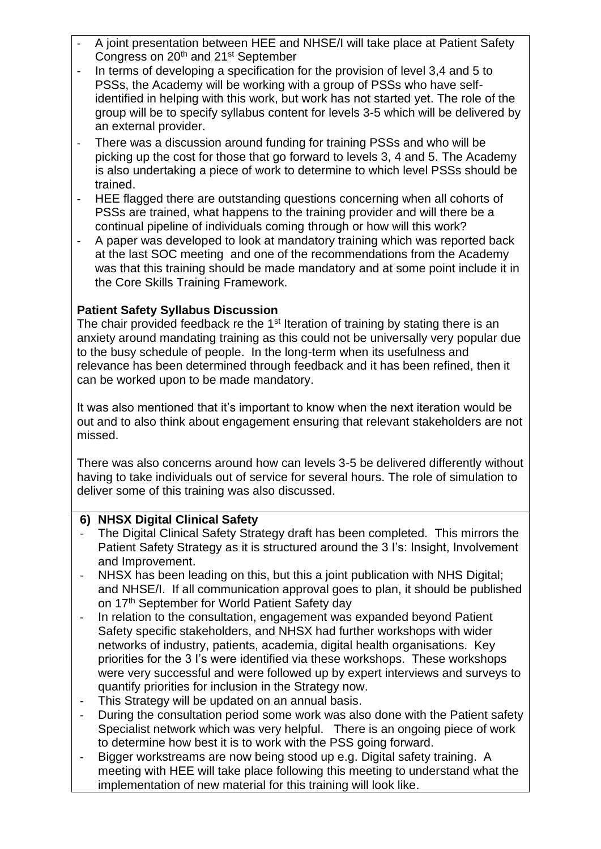- A joint presentation between HEE and NHSE/I will take place at Patient Safety Congress on 20<sup>th</sup> and 21<sup>st</sup> September
- In terms of developing a specification for the provision of level 3,4 and 5 to PSSs, the Academy will be working with a group of PSSs who have selfidentified in helping with this work, but work has not started yet. The role of the group will be to specify syllabus content for levels 3-5 which will be delivered by an external provider.
- There was a discussion around funding for training PSSs and who will be picking up the cost for those that go forward to levels 3, 4 and 5. The Academy is also undertaking a piece of work to determine to which level PSSs should be trained.
- HEE flagged there are outstanding questions concerning when all cohorts of PSSs are trained, what happens to the training provider and will there be a continual pipeline of individuals coming through or how will this work?
- A paper was developed to look at mandatory training which was reported back at the last SOC meeting and one of the recommendations from the Academy was that this training should be made mandatory and at some point include it in the Core Skills Training Framework.

## **Patient Safety Syllabus Discussion**

The chair provided feedback re the 1<sup>st</sup> Iteration of training by stating there is an anxiety around mandating training as this could not be universally very popular due to the busy schedule of people. In the long-term when its usefulness and relevance has been determined through feedback and it has been refined, then it can be worked upon to be made mandatory.

It was also mentioned that it's important to know when the next iteration would be out and to also think about engagement ensuring that relevant stakeholders are not missed.

There was also concerns around how can levels 3-5 be delivered differently without having to take individuals out of service for several hours. The role of simulation to deliver some of this training was also discussed.

### **6) NHSX Digital Clinical Safety**

- The Digital Clinical Safety Strategy draft has been completed. This mirrors the Patient Safety Strategy as it is structured around the 3 I's: Insight, Involvement and Improvement.
- NHSX has been leading on this, but this a joint publication with NHS Digital; and NHSE/I. If all communication approval goes to plan, it should be published on 17<sup>th</sup> September for World Patient Safety day
- In relation to the consultation, engagement was expanded beyond Patient Safety specific stakeholders, and NHSX had further workshops with wider networks of industry, patients, academia, digital health organisations. Key priorities for the 3 I's were identified via these workshops. These workshops were very successful and were followed up by expert interviews and surveys to quantify priorities for inclusion in the Strategy now.
- This Strategy will be updated on an annual basis.
- During the consultation period some work was also done with the Patient safety Specialist network which was very helpful. There is an ongoing piece of work to determine how best it is to work with the PSS going forward.
- Bigger workstreams are now being stood up e.g. Digital safety training. A meeting with HEE will take place following this meeting to understand what the implementation of new material for this training will look like.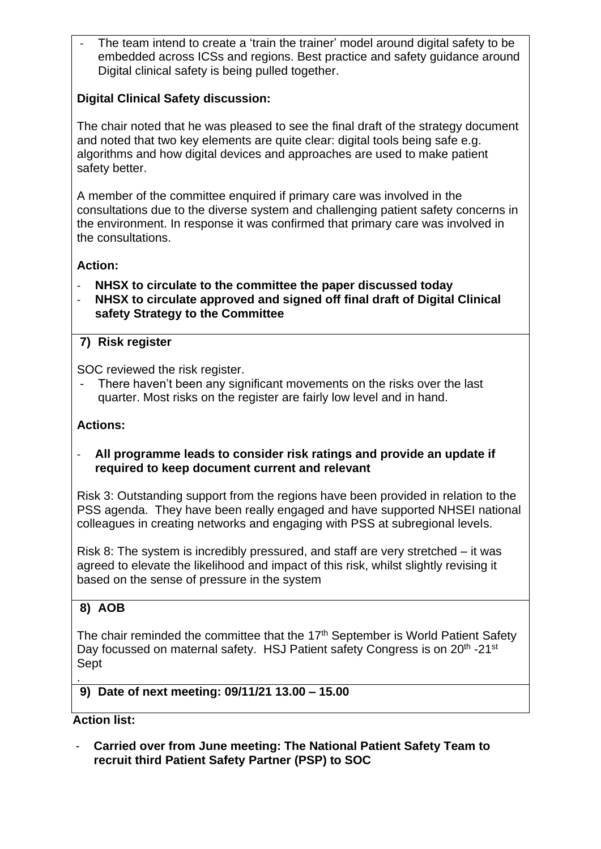The team intend to create a 'train the trainer' model around digital safety to be embedded across ICSs and regions. Best practice and safety guidance around Digital clinical safety is being pulled together.

# **Digital Clinical Safety discussion:**

The chair noted that he was pleased to see the final draft of the strategy document and noted that two key elements are quite clear: digital tools being safe e.g. algorithms and how digital devices and approaches are used to make patient safety better.

A member of the committee enquired if primary care was involved in the consultations due to the diverse system and challenging patient safety concerns in the environment. In response it was confirmed that primary care was involved in the consultations.

# **Action:**

- **NHSX to circulate to the committee the paper discussed today**
- **NHSX to circulate approved and signed off final draft of Digital Clinical safety Strategy to the Committee**

# **7) Risk register**

SOC reviewed the risk register.

There haven't been any significant movements on the risks over the last quarter. Most risks on the register are fairly low level and in hand.

### **Actions:**

#### - **All programme leads to consider risk ratings and provide an update if required to keep document current and relevant**

Risk 3: Outstanding support from the regions have been provided in relation to the PSS agenda. They have been really engaged and have supported NHSEI national colleagues in creating networks and engaging with PSS at subregional levels.

Risk 8: The system is incredibly pressured, and staff are very stretched – it was agreed to elevate the likelihood and impact of this risk, whilst slightly revising it based on the sense of pressure in the system

# **8) AOB**

The chair reminded the committee that the 17<sup>th</sup> September is World Patient Safety Day focussed on maternal safety. HSJ Patient safety Congress is on 20<sup>th</sup> -21<sup>st</sup> Sept

### **9) Date of next meeting: 09/11/21 13.00 – 15.00**

### **Action list:**

.

- **Carried over from June meeting: The National Patient Safety Team to recruit third Patient Safety Partner (PSP) to SOC**